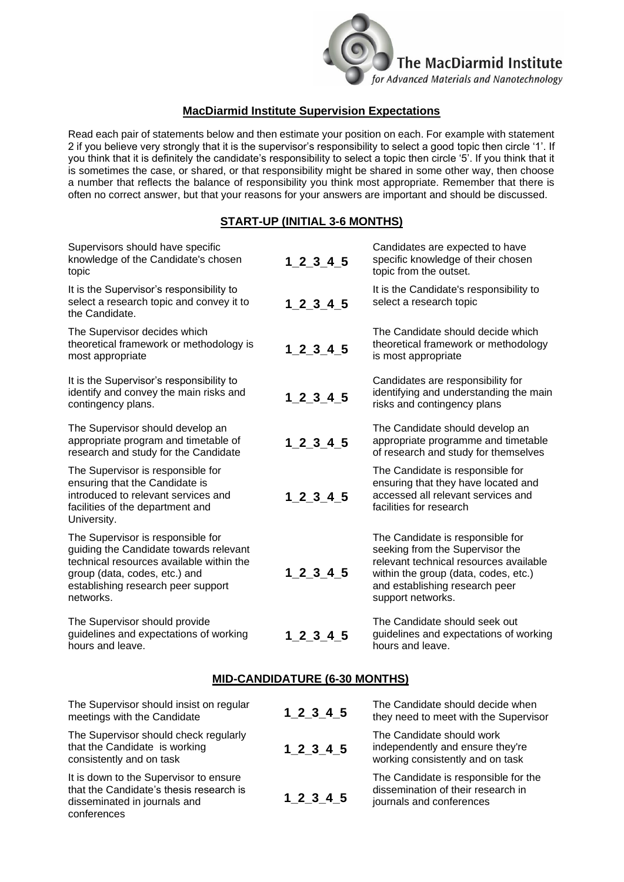

## **MacDiarmid Institute Supervision Expectations**

Read each pair of statements below and then estimate your position on each. For example with statement 2 if you believe very strongly that it is the supervisor's responsibility to select a good topic then circle '1'. If you think that it is definitely the candidate's responsibility to select a topic then circle '5'. If you think that it is sometimes the case, or shared, or that responsibility might be shared in some other way, then choose a number that reflects the balance of responsibility you think most appropriate. Remember that there is often no correct answer, but that your reasons for your answers are important and should be discussed.

## **START-UP (INITIAL 3-6 MONTHS)**

| Supervisors should have specific<br>knowledge of the Candidate's chosen<br>topic                                                                                                                            | $1 \ 2 \ 3 \ 4 \ 5$ | Candidates are expected to have<br>specific knowledge of their chosen<br>topic from the outset.                                                                                                              |
|-------------------------------------------------------------------------------------------------------------------------------------------------------------------------------------------------------------|---------------------|--------------------------------------------------------------------------------------------------------------------------------------------------------------------------------------------------------------|
| It is the Supervisor's responsibility to<br>select a research topic and convey it to<br>the Candidate.                                                                                                      | 1 2 3 4 5           | It is the Candidate's responsibility to<br>select a research topic                                                                                                                                           |
| The Supervisor decides which<br>theoretical framework or methodology is<br>most appropriate                                                                                                                 | $1 \ 2 \ 3 \ 4 \ 5$ | The Candidate should decide which<br>theoretical framework or methodology<br>is most appropriate                                                                                                             |
| It is the Supervisor's responsibility to<br>identify and convey the main risks and<br>contingency plans.                                                                                                    | $1\_2\_3\_4\_5$     | Candidates are responsibility for<br>identifying and understanding the main<br>risks and contingency plans                                                                                                   |
| The Supervisor should develop an<br>appropriate program and timetable of<br>research and study for the Candidate                                                                                            | $1 \ 2 \ 3 \ 4 \ 5$ | The Candidate should develop an<br>appropriate programme and timetable<br>of research and study for themselves                                                                                               |
| The Supervisor is responsible for<br>ensuring that the Candidate is<br>introduced to relevant services and<br>facilities of the department and<br>University.                                               | $1 \ 2 \ 3 \ 4 \ 5$ | The Candidate is responsible for<br>ensuring that they have located and<br>accessed all relevant services and<br>facilities for research                                                                     |
| The Supervisor is responsible for<br>guiding the Candidate towards relevant<br>technical resources available within the<br>group (data, codes, etc.) and<br>establishing research peer support<br>networks. | $1\_2\_3$ 4 5       | The Candidate is responsible for<br>seeking from the Supervisor the<br>relevant technical resources available<br>within the group (data, codes, etc.)<br>and establishing research peer<br>support networks. |
| The Supervisor should provide<br>guidelines and expectations of working<br>hours and leave.                                                                                                                 | 1 2 3 4 5           | The Candidate should seek out<br>guidelines and expectations of working<br>hours and leave.                                                                                                                  |

## **MID-CANDIDATURE (6-30 MONTHS)**

| The Supervisor should insist on regular<br>meetings with the Candidate                                                           | $1 \, 2 \, 3 \, 4 \, 5$ | The Candidate should decide when<br>they need to meet with the Supervisor                              |
|----------------------------------------------------------------------------------------------------------------------------------|-------------------------|--------------------------------------------------------------------------------------------------------|
| The Supervisor should check regularly<br>that the Candidate is working<br>consistently and on task                               | 1 2 3 4 5               | The Candidate should work<br>independently and ensure they're<br>working consistently and on task      |
| It is down to the Supervisor to ensure<br>that the Candidate's thesis research is<br>disseminated in journals and<br>conferences | 1 2 3 4 5               | The Candidate is responsible for the<br>dissemination of their research in<br>journals and conferences |